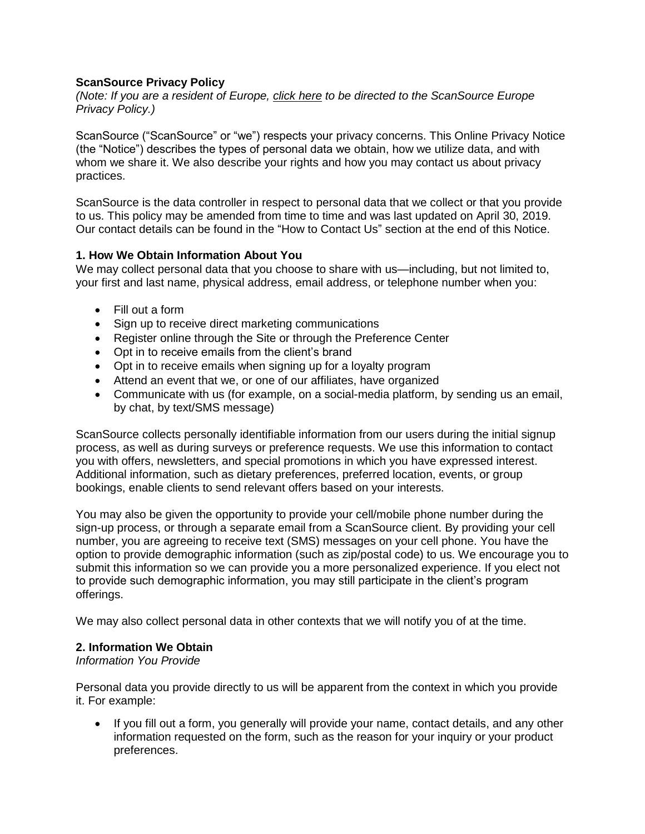# **ScanSource Privacy Policy**

*(Note: If you are a resident of Europe, [click here](https://www.scansource.eu/en/pages/privacy-policy) to be directed to the ScanSource Europe Privacy Policy.)*

ScanSource ("ScanSource" or "we") respects your privacy concerns. This Online Privacy Notice (the "Notice") describes the types of personal data we obtain, how we utilize data, and with whom we share it. We also describe your rights and how you may contact us about privacy practices.

ScanSource is the data controller in respect to personal data that we collect or that you provide to us. This policy may be amended from time to time and was last updated on April 30, 2019. Our contact details can be found in the "How to Contact Us" section at the end of this Notice.

## **1. How We Obtain Information About You**

We may collect personal data that you choose to share with us—including, but not limited to, your first and last name, physical address, email address, or telephone number when you:

- Fill out a form
- Sign up to receive direct marketing communications
- Register online through the Site or through the Preference Center
- Opt in to receive emails from the client's brand
- Opt in to receive emails when signing up for a loyalty program
- Attend an event that we, or one of our affiliates, have organized
- Communicate with us (for example, on a social-media platform, by sending us an email, by chat, by text/SMS message)

ScanSource collects personally identifiable information from our users during the initial signup process, as well as during surveys or preference requests. We use this information to contact you with offers, newsletters, and special promotions in which you have expressed interest. Additional information, such as dietary preferences, preferred location, events, or group bookings, enable clients to send relevant offers based on your interests.

You may also be given the opportunity to provide your cell/mobile phone number during the sign-up process, or through a separate email from a ScanSource client. By providing your cell number, you are agreeing to receive text (SMS) messages on your cell phone. You have the option to provide demographic information (such as zip/postal code) to us. We encourage you to submit this information so we can provide you a more personalized experience. If you elect not to provide such demographic information, you may still participate in the client's program offerings.

We may also collect personal data in other contexts that we will notify you of at the time.

### **2. Information We Obtain**

### *Information You Provide*

Personal data you provide directly to us will be apparent from the context in which you provide it. For example:

 If you fill out a form, you generally will provide your name, contact details, and any other information requested on the form, such as the reason for your inquiry or your product preferences.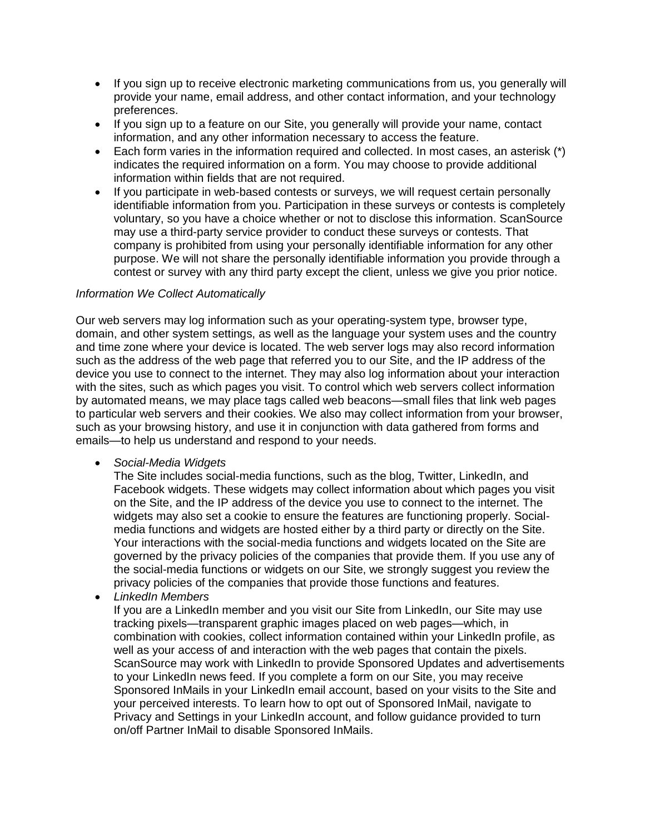- If you sign up to receive electronic marketing communications from us, you generally will provide your name, email address, and other contact information, and your technology preferences.
- If you sign up to a feature on our Site, you generally will provide your name, contact information, and any other information necessary to access the feature.
- Each form varies in the information required and collected. In most cases, an asterisk (\*) indicates the required information on a form. You may choose to provide additional information within fields that are not required.
- If you participate in web-based contests or surveys, we will request certain personally identifiable information from you. Participation in these surveys or contests is completely voluntary, so you have a choice whether or not to disclose this information. ScanSource may use a third-party service provider to conduct these surveys or contests. That company is prohibited from using your personally identifiable information for any other purpose. We will not share the personally identifiable information you provide through a contest or survey with any third party except the client, unless we give you prior notice.

## *Information We Collect Automatically*

Our web servers may log information such as your operating-system type, browser type, domain, and other system settings, as well as the language your system uses and the country and time zone where your device is located. The web server logs may also record information such as the address of the web page that referred you to our Site, and the IP address of the device you use to connect to the internet. They may also log information about your interaction with the sites, such as which pages you visit. To control which web servers collect information by automated means, we may place tags called web beacons—small files that link web pages to particular web servers and their cookies. We also may collect information from your browser, such as your browsing history, and use it in conjunction with data gathered from forms and emails—to help us understand and respond to your needs.

#### *Social-Media Widgets*

The Site includes social-media functions, such as the blog, Twitter, LinkedIn, and Facebook widgets. These widgets may collect information about which pages you visit on the Site, and the IP address of the device you use to connect to the internet. The widgets may also set a cookie to ensure the features are functioning properly. Socialmedia functions and widgets are hosted either by a third party or directly on the Site. Your interactions with the social-media functions and widgets located on the Site are governed by the privacy policies of the companies that provide them. If you use any of the social-media functions or widgets on our Site, we strongly suggest you review the privacy policies of the companies that provide those functions and features.

*LinkedIn Members*

If you are a LinkedIn member and you visit our Site from LinkedIn, our Site may use tracking pixels—transparent graphic images placed on web pages—which, in combination with cookies, collect information contained within your LinkedIn profile, as well as your access of and interaction with the web pages that contain the pixels. ScanSource may work with LinkedIn to provide Sponsored Updates and advertisements to your LinkedIn news feed. If you complete a form on our Site, you may receive Sponsored InMails in your LinkedIn email account, based on your visits to the Site and your perceived interests. To learn how to opt out of Sponsored InMail, navigate to Privacy and Settings in your LinkedIn account, and follow guidance provided to turn on/off Partner InMail to disable Sponsored InMails.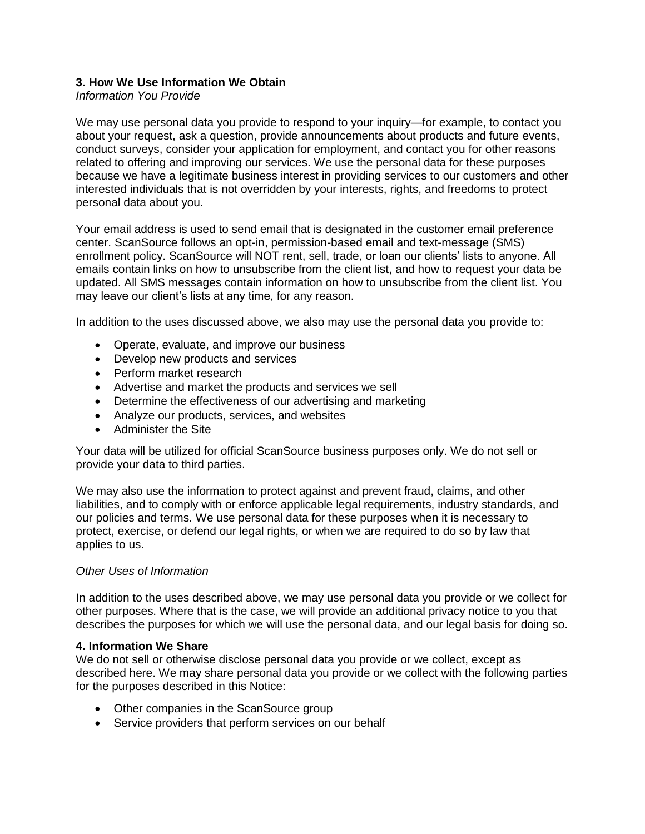# **3. How We Use Information We Obtain**

## *Information You Provide*

We may use personal data you provide to respond to your inquiry—for example, to contact you about your request, ask a question, provide announcements about products and future events, conduct surveys, consider your application for employment, and contact you for other reasons related to offering and improving our services. We use the personal data for these purposes because we have a legitimate business interest in providing services to our customers and other interested individuals that is not overridden by your interests, rights, and freedoms to protect personal data about you.

Your email address is used to send email that is designated in the customer email preference center. ScanSource follows an opt-in, permission-based email and text-message (SMS) enrollment policy. ScanSource will NOT rent, sell, trade, or loan our clients' lists to anyone. All emails contain links on how to unsubscribe from the client list, and how to request your data be updated. All SMS messages contain information on how to unsubscribe from the client list. You may leave our client's lists at any time, for any reason.

In addition to the uses discussed above, we also may use the personal data you provide to:

- Operate, evaluate, and improve our business
- Develop new products and services
- Perform market research
- Advertise and market the products and services we sell
- Determine the effectiveness of our advertising and marketing
- Analyze our products, services, and websites
- Administer the Site

Your data will be utilized for official ScanSource business purposes only. We do not sell or provide your data to third parties.

We may also use the information to protect against and prevent fraud, claims, and other liabilities, and to comply with or enforce applicable legal requirements, industry standards, and our policies and terms. We use personal data for these purposes when it is necessary to protect, exercise, or defend our legal rights, or when we are required to do so by law that applies to us.

## *Other Uses of Information*

In addition to the uses described above, we may use personal data you provide or we collect for other purposes. Where that is the case, we will provide an additional privacy notice to you that describes the purposes for which we will use the personal data, and our legal basis for doing so.

#### **4. Information We Share**

We do not sell or otherwise disclose personal data you provide or we collect, except as described here. We may share personal data you provide or we collect with the following parties for the purposes described in this Notice:

- Other companies in the ScanSource group
- Service providers that perform services on our behalf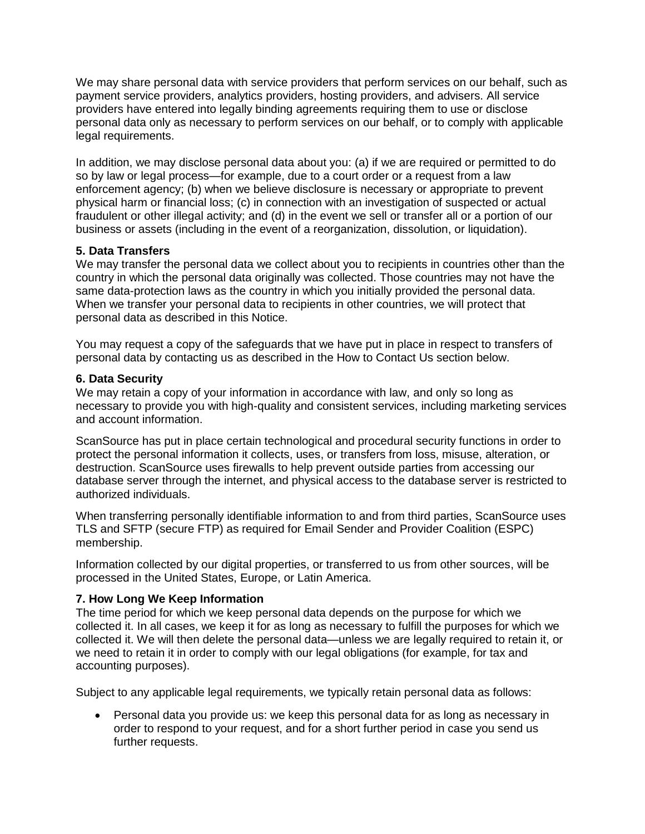We may share personal data with service providers that perform services on our behalf, such as payment service providers, analytics providers, hosting providers, and advisers. All service providers have entered into legally binding agreements requiring them to use or disclose personal data only as necessary to perform services on our behalf, or to comply with applicable legal requirements.

In addition, we may disclose personal data about you: (a) if we are required or permitted to do so by law or legal process—for example, due to a court order or a request from a law enforcement agency; (b) when we believe disclosure is necessary or appropriate to prevent physical harm or financial loss; (c) in connection with an investigation of suspected or actual fraudulent or other illegal activity; and (d) in the event we sell or transfer all or a portion of our business or assets (including in the event of a reorganization, dissolution, or liquidation).

# **5. Data Transfers**

We may transfer the personal data we collect about you to recipients in countries other than the country in which the personal data originally was collected. Those countries may not have the same data-protection laws as the country in which you initially provided the personal data. When we transfer your personal data to recipients in other countries, we will protect that personal data as described in this Notice.

You may request a copy of the safeguards that we have put in place in respect to transfers of personal data by contacting us as described in the How to Contact Us section below.

### **6. Data Security**

We may retain a copy of your information in accordance with law, and only so long as necessary to provide you with high-quality and consistent services, including marketing services and account information.

ScanSource has put in place certain technological and procedural security functions in order to protect the personal information it collects, uses, or transfers from loss, misuse, alteration, or destruction. ScanSource uses firewalls to help prevent outside parties from accessing our database server through the internet, and physical access to the database server is restricted to authorized individuals.

When transferring personally identifiable information to and from third parties, ScanSource uses TLS and SFTP (secure FTP) as required for Email Sender and Provider Coalition (ESPC) membership.

Information collected by our digital properties, or transferred to us from other sources, will be processed in the United States, Europe, or Latin America.

## **7. How Long We Keep Information**

The time period for which we keep personal data depends on the purpose for which we collected it. In all cases, we keep it for as long as necessary to fulfill the purposes for which we collected it. We will then delete the personal data—unless we are legally required to retain it, or we need to retain it in order to comply with our legal obligations (for example, for tax and accounting purposes).

Subject to any applicable legal requirements, we typically retain personal data as follows:

 Personal data you provide us: we keep this personal data for as long as necessary in order to respond to your request, and for a short further period in case you send us further requests.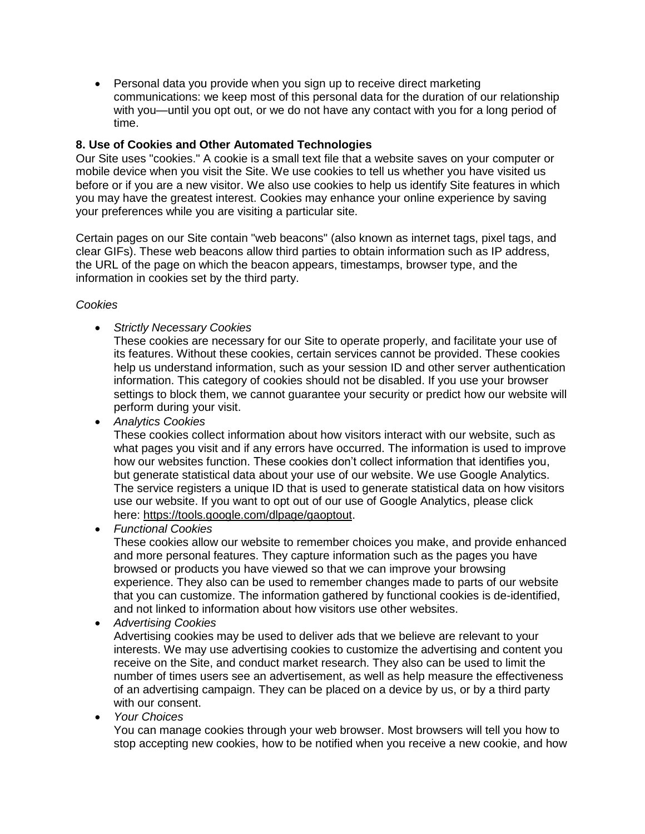Personal data you provide when you sign up to receive direct marketing communications: we keep most of this personal data for the duration of our relationship with you—until you opt out, or we do not have any contact with you for a long period of time.

# **8. Use of Cookies and Other Automated Technologies**

Our Site uses "cookies." A cookie is a small text file that a website saves on your computer or mobile device when you visit the Site. We use cookies to tell us whether you have visited us before or if you are a new visitor. We also use cookies to help us identify Site features in which you may have the greatest interest. Cookies may enhance your online experience by saving your preferences while you are visiting a particular site.

Certain pages on our Site contain "web beacons" (also known as internet tags, pixel tags, and clear GIFs). These web beacons allow third parties to obtain information such as IP address, the URL of the page on which the beacon appears, timestamps, browser type, and the information in cookies set by the third party.

## *Cookies*

*Strictly Necessary Cookies*

These cookies are necessary for our Site to operate properly, and facilitate your use of its features. Without these cookies, certain services cannot be provided. These cookies help us understand information, such as your session ID and other server authentication information. This category of cookies should not be disabled. If you use your browser settings to block them, we cannot guarantee your security or predict how our website will perform during your visit.

*Analytics Cookies*

These cookies collect information about how visitors interact with our website, such as what pages you visit and if any errors have occurred. The information is used to improve how our websites function. These cookies don't collect information that identifies you, but generate statistical data about your use of our website. We use Google Analytics. The service registers a unique ID that is used to generate statistical data on how visitors use our website. If you want to opt out of our use of Google Analytics, please click here: [https://tools.google.com/dlpage/gaoptout.](https://tools.google.com/dlpage/gaoptout)

*Functional Cookies*

These cookies allow our website to remember choices you make, and provide enhanced and more personal features. They capture information such as the pages you have browsed or products you have viewed so that we can improve your browsing experience. They also can be used to remember changes made to parts of our website that you can customize. The information gathered by functional cookies is de-identified, and not linked to information about how visitors use other websites.

*Advertising Cookies*

Advertising cookies may be used to deliver ads that we believe are relevant to your interests. We may use advertising cookies to customize the advertising and content you receive on the Site, and conduct market research. They also can be used to limit the number of times users see an advertisement, as well as help measure the effectiveness of an advertising campaign. They can be placed on a device by us, or by a third party with our consent.

*Your Choices*

You can manage cookies through your web browser. Most browsers will tell you how to stop accepting new cookies, how to be notified when you receive a new cookie, and how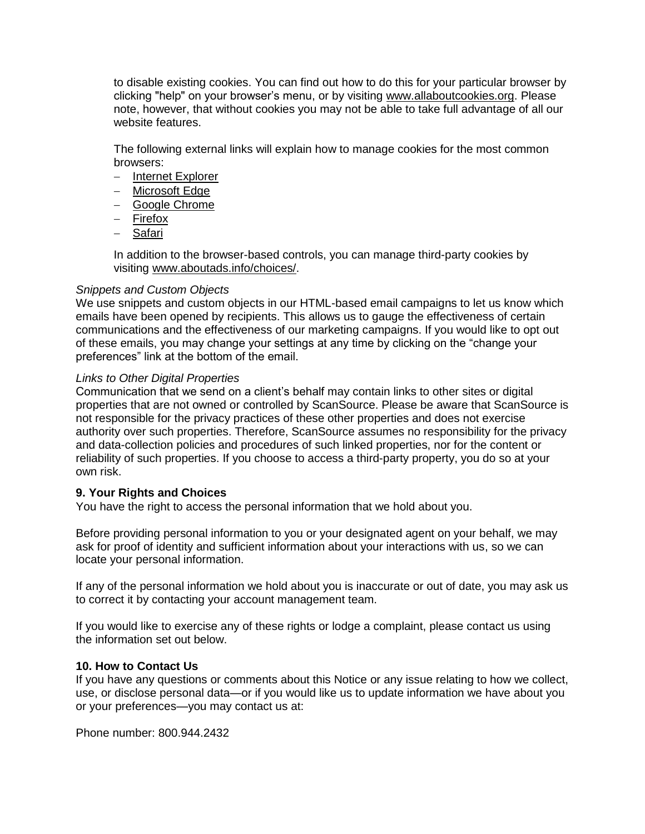to disable existing cookies. You can find out how to do this for your particular browser by clicking "help" on your browser's menu, or by visiting [www.allaboutcookies.org.](http://www.allaboutcookies.org/) Please note, however, that without cookies you may not be able to take full advantage of all our website features.

The following external links will explain how to manage cookies for the most common browsers:

- [Internet Explorer](https://support.microsoft.com/en-us/help/17442/windows-internet-explorer-delete-manage-cookies)
- [Microsoft Edge](https://privacy.microsoft.com/en-us/windows-10-microsoft-edge-and-privacy)
- [Google Chrome](https://support.google.com/accounts/answer/61416?hl=en)
- $-$  [Firefox](https://support.mozilla.org/en-US/kb/enable-and-disable-cookies-website-preferences?redirectlocale=en-US&redirectslug=Enabling%2Band%2Bdisabling%2Bcookies)
- [Safari](http://support.apple.com/kb/PH17191)

In addition to the browser-based controls, you can manage third-party cookies by visiting [www.aboutads.info/choices/.](http://optout.aboutads.info/?c=2&lang=EN)

### *Snippets and Custom Objects*

We use snippets and custom objects in our HTML-based email campaigns to let us know which emails have been opened by recipients. This allows us to gauge the effectiveness of certain communications and the effectiveness of our marketing campaigns. If you would like to opt out of these emails, you may change your settings at any time by clicking on the "change your preferences" link at the bottom of the email.

### *Links to Other Digital Properties*

Communication that we send on a client's behalf may contain links to other sites or digital properties that are not owned or controlled by ScanSource. Please be aware that ScanSource is not responsible for the privacy practices of these other properties and does not exercise authority over such properties. Therefore, ScanSource assumes no responsibility for the privacy and data-collection policies and procedures of such linked properties, nor for the content or reliability of such properties. If you choose to access a third-party property, you do so at your own risk.

## **9. Your Rights and Choices**

You have the right to access the personal information that we hold about you.

Before providing personal information to you or your designated agent on your behalf, we may ask for proof of identity and sufficient information about your interactions with us, so we can locate your personal information.

If any of the personal information we hold about you is inaccurate or out of date, you may ask us to correct it by contacting your account management team.

If you would like to exercise any of these rights or lodge a complaint, please contact us using the information set out below.

#### **10. How to Contact Us**

If you have any questions or comments about this Notice or any issue relating to how we collect, use, or disclose personal data—or if you would like us to update information we have about you or your preferences—you may contact us at:

Phone number: 800.944.2432